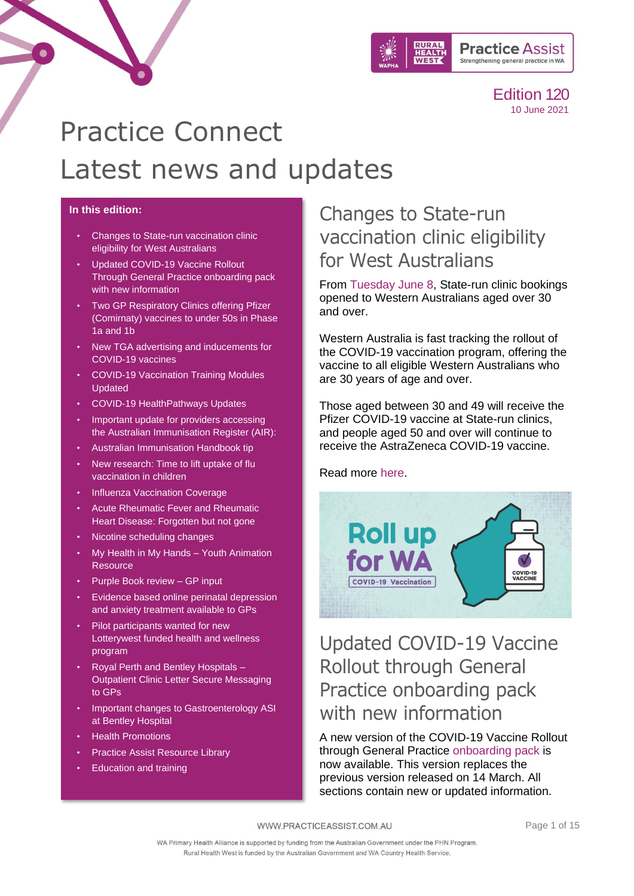

# Practice Connect Latest news and updates

#### **In this edition:**

- [Changes to State-run vaccination clinic](#page-0-0)  [eligibility for West Australians](#page-0-0)
- [Updated COVID-19 Vaccine Rollout](#page-0-1)  [Through General Practice onboarding pack](#page-0-1)  [with new information](#page-0-1)
- Two GP Respiratory Clinics offering Pfizer [\(Comirnaty\) vaccines to under 50s in Phase](#page-1-0)  [1a and 1b](#page-1-0)
- [New TGA advertising and inducements for](#page-1-1)  [COVID-19 vaccines](#page-1-1)
- [COVID-19 Vaccination Training Modules](#page-2-0)  [Updated](#page-2-0)
- [COVID-19 HealthPathways Updates](#page-2-1)
- [Important update for providers accessing](#page-3-0)  [the Australian Immunisation Register \(AIR\):](#page-3-0)
- [Australian Immunisation Handbook tip](#page-3-1)
- [New research: Time to lift uptake of flu](#page-3-2)  [vaccination in children](#page-3-2)
- [Influenza Vaccination Coverage](#page-4-0)
- [Acute Rheumatic Fever and Rheumatic](#page-5-0)  [Heart Disease: Forgotten but not](#page-5-0) gone
- [Nicotine scheduling changes](#page-6-0)
- [My Health in My Hands –](#page-6-1) Youth Animation **[Resource](#page-6-1)**
- Purple Book review GP input
- [Evidence based online perinatal depression](#page-7-1)  [and anxiety treatment available to GPs](#page-7-1)
- Pilot participants wanted for new [Lotterywest funded health and wellness](#page-8-0)  [program](#page-8-0)
- [Royal Perth and Bentley Hospitals –](#page-9-0) Outpatient [Clinic Letter Secure Messaging](#page-9-0)  [to GPs](#page-9-0)
- [Important changes to Gastroenterology ASI](#page-9-1)  [at Bentley Hospital](#page-9-1)
- [Health Promotions](#page-11-0)
- **[Practice Assist Resource Library](#page-10-0)**
- [Education and training](#page-13-0)

### <span id="page-0-0"></span>Changes to State-run vaccination clinic eligibility for West Australians

From [Tuesday](https://www.mediastatements.wa.gov.au/Pages/McGowan/2021/06/WA-steps-forward-with-COVID-19-vaccination-rollout-to-all-over-30.aspx) June 8, State-run clinic bookings opened to Western Australians aged over 30 and over.

Western Australia is fast tracking the rollout of the COVID-19 vaccination program, offering the vaccine to all eligible Western Australians who are 30 years of age and over.

Those aged between 30 and 49 will receive the Pfizer COVID-19 vaccine at State-run clinics, and people aged 50 and over will continue to receive the AstraZeneca COVID-19 vaccine.

Read more [here.](https://www.mediastatements.wa.gov.au/Pages/McGowan/2021/06/WA-steps-forward-with-COVID-19-vaccination-rollout-to-all-over-30.aspx)



### <span id="page-0-1"></span>Updated COVID-19 Vaccine Rollout through General Practice onboarding pack with new information

A new version of the COVID-19 Vaccine Rollout through General Practice [onboarding pack](https://linkprotect.cudasvc.com/url?a=https%3a%2f%2fwww.wapha.org.au%2fwp-content%2fuploads%2f2021%2f06%2fCOVID-19-vaccine-roll-out-General-Practice-Onboarding-Pack-Version-3-28-May-2021.pdf&c=E,1,6XMl4GfPGKrFfV6fJkkCEB_qOv-tHhbSFrgzZWdIvDRFjRWtERVf8ufLhLDUatKMbkLGJ9wAdKTeUqPMZYxDjS6rUIujFQEXhGNO9PUEXv3yXOUB&typo=1) is now available. This version replaces the previous version released on 14 March. All sections contain new or updated information.

WWW.PRACTICEASSIST.COM.AU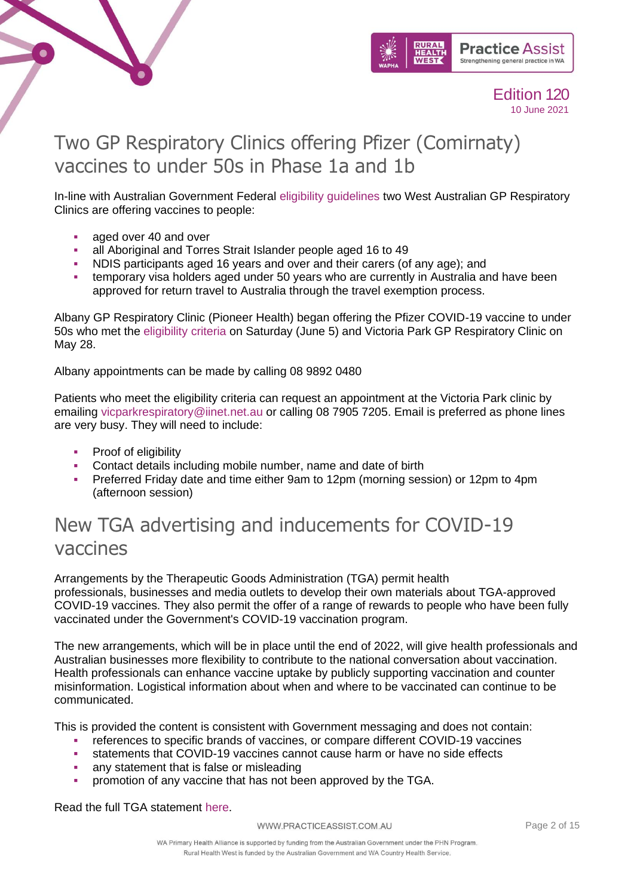



# <span id="page-1-0"></span>Two GP Respiratory Clinics offering Pfizer (Comirnaty) vaccines to under 50s in Phase 1a and 1b

In-line with Australian Government Federal [eligibility guidelines](https://www.health.gov.au/news/covid-19-vaccines-to-be-available-to-everyone-aged-40-years-and-over-0) two West Australian GP Respiratory Clinics are offering vaccines to people:

- aged over 40 and over
- all Aboriginal and Torres Strait Islander people aged 16 to 49
- NDIS participants aged 16 years and over and their carers (of any age); and
- temporary visa holders aged under 50 years who are currently in Australia and have been approved for return travel to Australia through the travel exemption process.

Albany GP Respiratory Clinic (Pioneer Health) began offering the Pfizer COVID-19 vaccine to under 50s who met the [eligibility criteria](https://www.health.gov.au/resources/apps-and-tools/covid-19-vaccine-eligibility-checker) on Saturday (June 5) and Victoria Park GP Respiratory Clinic on May 28.

Albany appointments can be made by calling 08 9892 0480

Patients who meet the eligibility criteria can request an appointment at the Victoria Park clinic by emailing [vicparkrespiratory@iinet.net.au](mailto:vicparkrespiratory@iinet.net.au) or calling 08 7905 7205. Email is preferred as phone lines are very busy. They will need to include:

- Proof of eligibility
- Contact details including mobile number, name and date of birth
- **•** Preferred Friday date and time either 9am to 12pm (morning session) or 12pm to 4pm (afternoon session)

### <span id="page-1-1"></span>New TGA advertising and inducements for COVID-19 vaccines

Arrangements by the Therapeutic Goods Administration (TGA) permit health professionals, businesses and media outlets to develop their own materials about TGA-approved COVID-19 vaccines. They also permit the offer of a range of rewards to people who have been fully vaccinated under the Government's COVID-19 vaccination program.

The new arrangements, which will be in place until the end of 2022, will give health professionals and Australian businesses more flexibility to contribute to the national conversation about vaccination. Health professionals can enhance vaccine uptake by publicly supporting vaccination and counter misinformation. Logistical information about when and where to be vaccinated can continue to be communicated.

This is provided the content is consistent with Government messaging and does not contain:

- references to specific brands of vaccines, or compare different COVID-19 vaccines
- **•** statements that COVID-19 vaccines cannot cause harm or have no side effects
- any statement that is false or misleading
- promotion of any vaccine that has not been approved by the TGA.

Read the full TGA statement [here.](https://www.tga.gov.au/media-release/new-regulatory-arrangements-support-businesses-and-health-professionals-communicate-and-incentivise-covid-19-vaccination)

WWW.PRACTICEASSIST.COM.AU

Page 2 of 15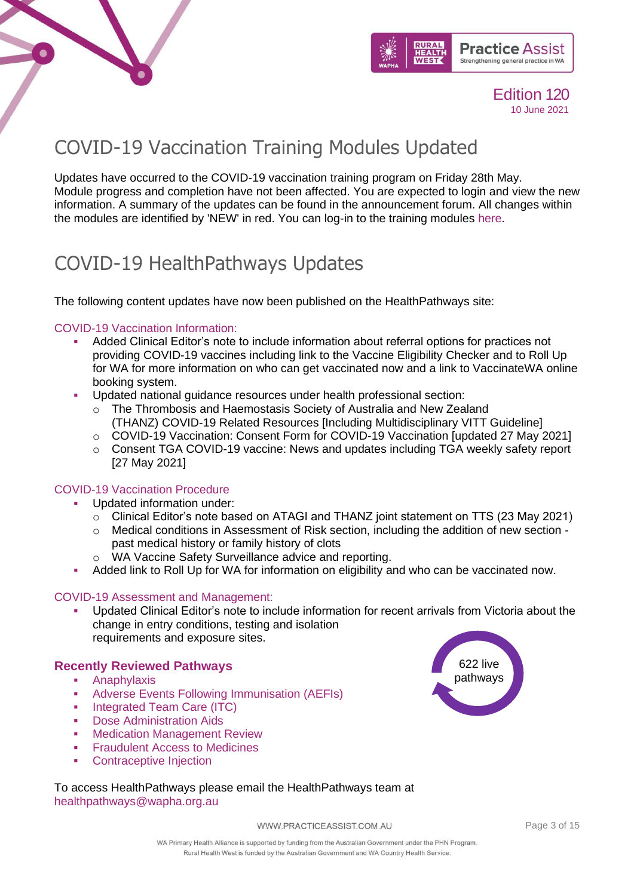



# <span id="page-2-0"></span>COVID-19 Vaccination Training Modules Updated

Updates have occurred to the COVID-19 vaccination training program on Friday 28th May. Module progress and completion have not been affected. You are expected to login and view the new information. A summary of the updates can be found in the announcement forum. All changes within the modules are identified by 'NEW' in red. You can log-in to the training modules [here.](https://covid19vaccinationtraining.org.au/login/index.php)

### <span id="page-2-1"></span>COVID-19 HealthPathways Updates

The following content updates have now been published on the HealthPathways site:

#### [COVID-19 Vaccination Information:](https://linkprotect.cudasvc.com/url?a=https%3a%2f%2fwapha.us11.list-manage.com%2ftrack%2fclick%3fu%3dc973db7b85e56f4c3d0eaacee%26id%3d6c02d986d3%26e%3d02c79a9d9f&c=E,1,x59URdw-ZRKbdrnwd9qBHs1_gii4ozyI_hnxqtwuVJj3XlA3JflpfPwvzEYpaPhhO0B_I8IqTRsUvD4eYJJ7PTV4YVJU9ZO3stbTslOZzhIbYXdbryyCcouCMmAC&typo=1)

- Added Clinical Editor's note to include information about referral options for practices not providing COVID-19 vaccines including link to the Vaccine Eligibility Checker and to Roll Up for WA for more information on who can get vaccinated now and a link to VaccinateWA online booking system.
- Updated national guidance resources under health professional section:
	- o The Thrombosis and Haemostasis Society of Australia and New Zealand (THANZ) COVID-19 Related Resources [Including Multidisciplinary VITT Guideline]
	- o COVID-19 Vaccination: Consent Form for COVID-19 Vaccination [updated 27 May 2021]
	- o Consent TGA COVID-19 vaccine: News and updates including TGA weekly safety report [27 May 2021]

#### [COVID-19 Vaccination Procedure](https://linkprotect.cudasvc.com/url?a=https%3a%2f%2fwapha.us11.list-manage.com%2ftrack%2fclick%3fu%3dc973db7b85e56f4c3d0eaacee%26id%3dca61accc00%26e%3d02c79a9d9f&c=E,1,MS0ik9IA37jjus7uDtHhUrP3JZXvcNoLpMwcUnCEvmjUx4EVKrZWwM40iiREfPV_S1VnSalCoZ1nRY2EDluPnx9Td7CoiNLr_SLaRR4a3x4QRqvG3yVn&typo=1)

- Updated information under:
	- $\circ$  Clinical Editor's note based on ATAGI and THANZ joint statement on TTS (23 May 2021)
	- o Medical conditions in Assessment of Risk section, including the addition of new section past medical history or family history of clots
	- o WA Vaccine Safety Surveillance advice and reporting.
- Added link to Roll Up for WA for information on eligibility and who can be vaccinated now.

#### [COVID-19 Assessment and Management:](https://linkprotect.cudasvc.com/url?a=https%3a%2f%2fwapha.us11.list-manage.com%2ftrack%2fclick%3fu%3dc973db7b85e56f4c3d0eaacee%26id%3da1fb5494f1%26e%3d02c79a9d9f&c=E,1,9kj5x3GpQrB3QTXhO6Z0UEPu0MQ3G_FtRDVUEXOz1C17RKMV_J3lzjB8y-21qrbAasUBhvshQE1DyBt4P1EVpy4fie8lPiPWXDt3ld9Rtkqkfg5jO0KHhilV&typo=1)

Updated Clinical Editor's note to include information for recent arrivals from Victoria about the change in entry conditions, testing and isolation requirements and exposure sites.

#### **Recently Reviewed Pathways**

- [Anaphylaxis](https://wa.communityhealthpathways.org/19327.htm)
- [Adverse Events Following Immunisation \(AEFIs\)](https://wa.communityhealthpathways.org/87896.htm)
- **•** [Integrated Team Care \(ITC\)](https://wa.communityhealthpathways.org/65938.htm)
- **[Dose Administration Aids](https://wa.communityhealthpathways.org/148159.htm)**
- **[Medication Management Review](https://wa.communityhealthpathways.org/35313_1.htm)**
- **[Fraudulent Access to Medicines](https://wa.communityhealthpathways.org/35451.htm)**
- **[Contraceptive Injection](https://wa.communityhealthpathways.org/63335.htm)**

To access HealthPathways please email the HealthPathways team at [healthpathways@wapha.org.au](mailto:healthpathways@wapha.org.au)

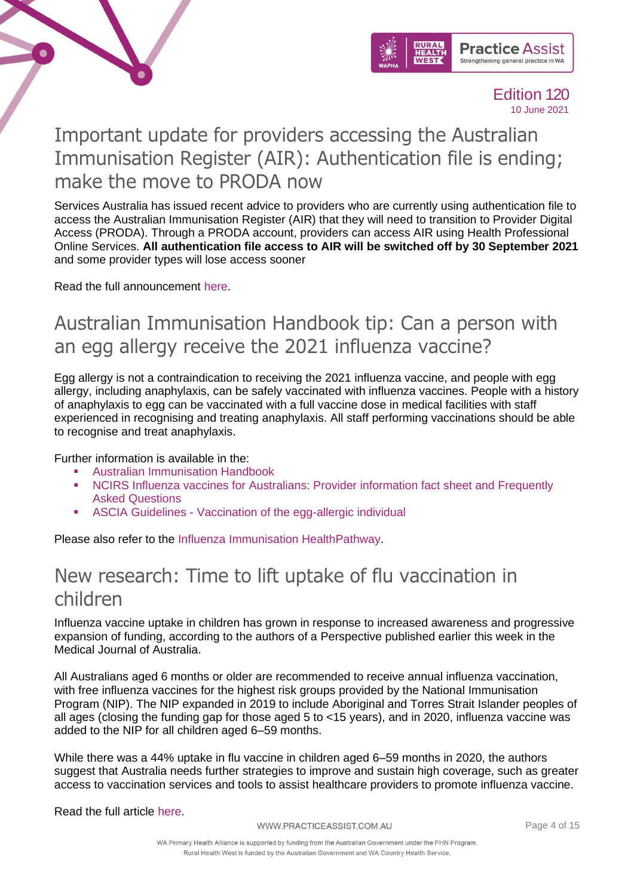



# <span id="page-3-0"></span>Important update for providers accessing the Australian Immunisation Register (AIR): Authentication file is ending; make the move to PRODA now

Services Australia has issued recent advice to providers who are currently using authentication file to access the Australian Immunisation Register (AIR) that they will need to transition to Provider Digital Access (PRODA). Through a PRODA account, providers can access AIR using Health Professional Online Services. **All authentication file access to AIR will be switched off by 30 September 2021** and some provider types will lose access sooner

Read the full announcement [here.](https://www.servicesaustralia.gov.au/organisations/health-professionals/news/authentication-file-ending-make-move-proda-now)

### <span id="page-3-1"></span>Australian Immunisation Handbook tip: Can a person with an egg allergy receive the 2021 influenza vaccine?

Egg allergy is not a contraindication to receiving the 2021 influenza vaccine, and people with egg allergy, including anaphylaxis, can be safely vaccinated with influenza vaccines. People with a history of anaphylaxis to egg can be vaccinated with a full vaccine dose in medical facilities with staff experienced in recognising and treating anaphylaxis. All staff performing vaccinations should be able to recognise and treat anaphylaxis.

Further information is available in the:

- **[Australian Immunisation Handbook](https://linkprotect.cudasvc.com/url?a=https%3a%2f%2fncirs.cmail19.com%2ft%2ft-l-mkddttt-ejtjjtdtk-d%2f&c=E,1,8doaDyKwvzf7d5fAlc5fSshprjUdOXtkKrvZ-NTuNDABOCkcpS9Gu07Psf87W818t4M4TaOpGGQtgj4M8Ya1NEN2aJAIMgh_YKhrObxKag,,&typo=1)**
- NCIRS Influenza vaccines for Australians: Provider information fact sheet and Frequently [Asked Questions](https://linkprotect.cudasvc.com/url?a=https%3a%2f%2fncirs.cmail19.com%2ft%2ft-l-mkddttt-ejtjjtdtk-h%2f&c=E,1,kF1rVd5KXZIZl1pI2NA2RkvifxMGsFmSDZsb1N_17PxYsQ4uevKBJr1IRgJ-tQ4nCfiFPy8UzQTcmuKgdDRHZCZEmPqoG-wXd3m9pSQuXCKIGehKCQ,,&typo=1)
- ASCIA Guidelines [Vaccination of the egg-allergic individual](https://linkprotect.cudasvc.com/url?a=https%3a%2f%2fncirs.cmail19.com%2ft%2ft-l-mkddttt-ejtjjtdtk-k%2f&c=E,1,u5UvmQjHDhljOa-M4xLzt6AzxNtdYs9_wzqVWtGydKotW6MI55osKyweUGEIlV0m1GI8vuInAbmWY0msSvREMzB4OzkJJVm9rrTTlznNFx8,&typo=1)

Please also refer to the [Influenza Immunisation HealthPathway.](https://wa.communityhealthpathways.org/52701.htm)

### <span id="page-3-2"></span>New research: Time to lift uptake of flu vaccination in children

Influenza vaccine uptake in children has grown in response to increased awareness and progressive expansion of funding, according to the authors of a Perspective published earlier this week in the Medical Journal of Australia.

All Australians aged 6 months or older are recommended to receive annual influenza vaccination, with free influenza vaccines for the highest risk groups provided by the National Immunisation Program (NIP). The NIP expanded in 2019 to include Aboriginal and Torres Strait Islander peoples of all ages (closing the funding gap for those aged 5 to <15 years), and in 2020, influenza vaccine was added to the NIP for all children aged 6–59 months.

While there was a 44% uptake in flu vaccine in children aged 6–59 months in 2020, the authors suggest that Australia needs further strategies to improve and sustain high coverage, such as greater access to vaccination services and tools to assist healthcare providers to promote influenza vaccine.

Read the full article [here.](https://www.mja.com.au/journal/2021/215/2/influenza-disease-and-vaccination-children-australia)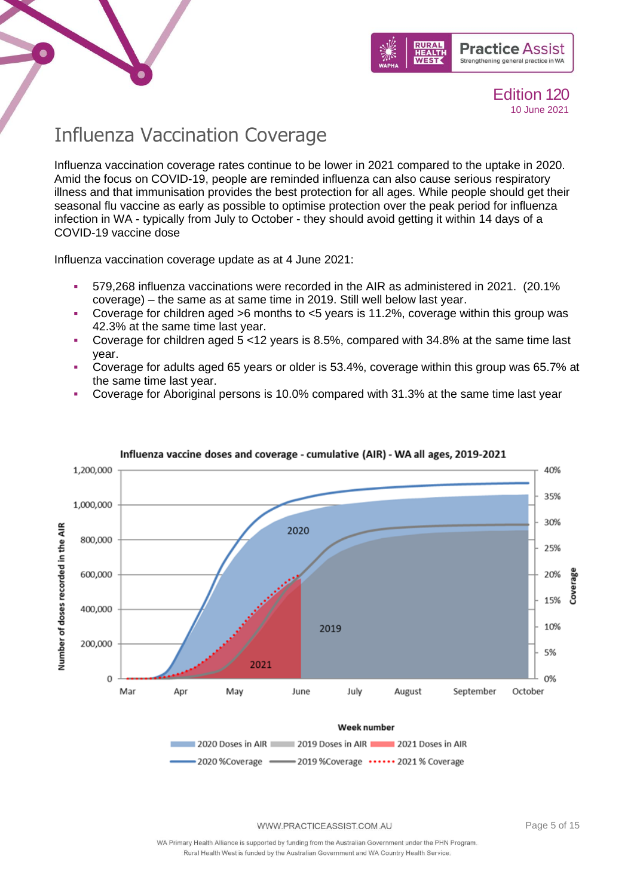



# <span id="page-4-0"></span>Influenza Vaccination Coverage

Influenza vaccination coverage rates continue to be lower in 2021 compared to the uptake in 2020. Amid the focus on COVID-19, people are reminded influenza can also cause serious respiratory illness and that immunisation provides the best protection for all ages. While people should get their seasonal flu vaccine as early as possible to optimise protection over the peak period for influenza infection in WA - typically from July to October - they should avoid getting it within 14 days of a COVID-19 vaccine dose

Influenza vaccination coverage update as at 4 June 2021:

- 579,268 influenza vaccinations were recorded in the AIR as administered in 2021. (20.1% coverage) – the same as at same time in 2019. Still well below last year.
- **Coverage for children aged >6 months to**  $\lt 5$  **years is 11.2%, coverage within this group was** 42.3% at the same time last year.
- Coverage for children aged 5 <12 years is 8.5%, compared with 34.8% at the same time last year.
- Coverage for adults aged 65 years or older is 53.4%, coverage within this group was 65.7% at the same time last year.
- Coverage for Aboriginal persons is 10.0% compared with 31.3% at the same time last year



Influenza vaccine doses and coverage - cumulative (AIR) - WA all ages, 2019-2021

WWW.PRACTICEASSIST.COM.AU

Page 5 of 15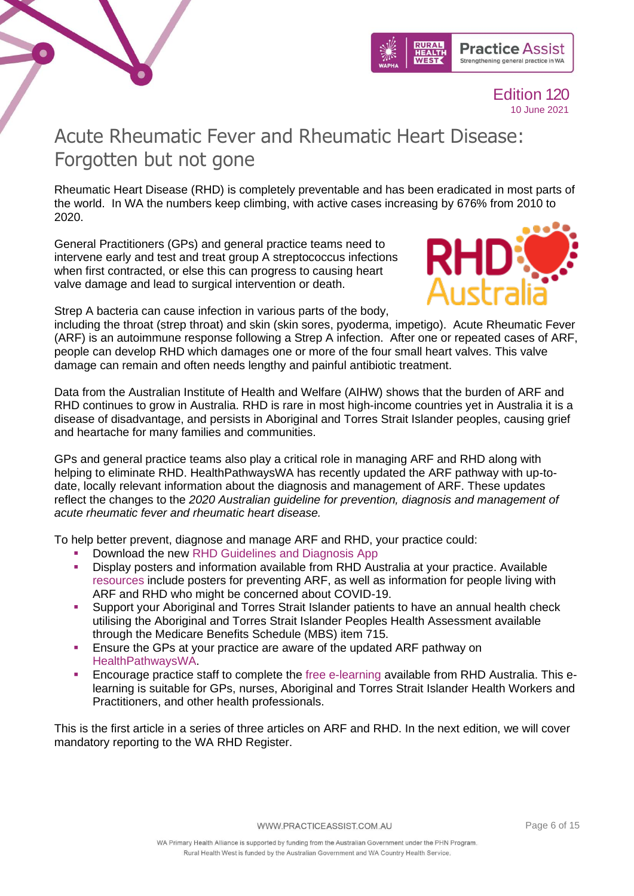



# <span id="page-5-0"></span>Acute Rheumatic Fever and Rheumatic Heart Disease: Forgotten but not gone

Rheumatic Heart Disease (RHD) is completely preventable and has been eradicated in most parts of the world. In WA the numbers keep climbing, with active cases increasing by 676% from 2010 to 2020.

General Practitioners (GPs) and general practice teams need to intervene early and test and treat group A streptococcus infections when first contracted, or else this can progress to causing heart valve damage and lead to surgical intervention or death.



Strep A bacteria can cause infection in various parts of the body,

including the throat (strep throat) and skin (skin sores, pyoderma, impetigo). Acute Rheumatic Fever (ARF) is an autoimmune response following a Strep A infection. After one or repeated cases of ARF, people can develop RHD which damages one or more of the four small heart valves. This valve damage can remain and often needs lengthy and painful antibiotic treatment.

Data from the Australian Institute of Health and Welfare (AIHW) shows that the burden of ARF and RHD continues to grow in Australia. RHD is rare in most high-income countries yet in Australia it is a disease of disadvantage, and persists in Aboriginal and Torres Strait Islander peoples, causing grief and heartache for many families and communities.

GPs and general practice teams also play a critical role in managing ARF and RHD along with helping to eliminate RHD. HealthPathwaysWA has recently updated the ARF pathway with up-todate, locally relevant information about the diagnosis and management of ARF. These updates reflect the changes to the *2020 Australian guideline for prevention, diagnosis and management of acute rheumatic fever and rheumatic heart disease.*

To help better prevent, diagnose and manage ARF and RHD, your practice could:

- Download the new [RHD Guidelines and Diagnosis App](https://www.rhdaustralia.org.au/apps)
- **•** Display posters and information available from RHD Australia at your practice. Available [resources](https://www.rhdaustralia.org.au/resources-search?search_api_views_fulltext=&field_field_resource_terms%5B0%5D=62) include posters for preventing ARF, as well as information for people living with ARF and RHD who might be concerned about COVID-19.
- Support your Aboriginal and Torres Strait Islander patients to have an annual health check utilising the Aboriginal and Torres Strait Islander Peoples Health Assessment available through the Medicare Benefits Schedule (MBS) item 715.
- **E** Ensure the GPs at your practice are aware of the updated ARF pathway on [HealthPathwaysWA.](https://wa.communityhealthpathways.org/)
- Encourage practice staff to complete the [free e-learning](https://www.rhdaustralia.org.au/e-learning-discussion-forum) available from RHD Australia. This elearning is suitable for GPs, nurses, Aboriginal and Torres Strait Islander Health Workers and Practitioners, and other health professionals.

This is the first article in a series of three articles on ARF and RHD. In the next edition, we will cover mandatory reporting to the WA RHD Register.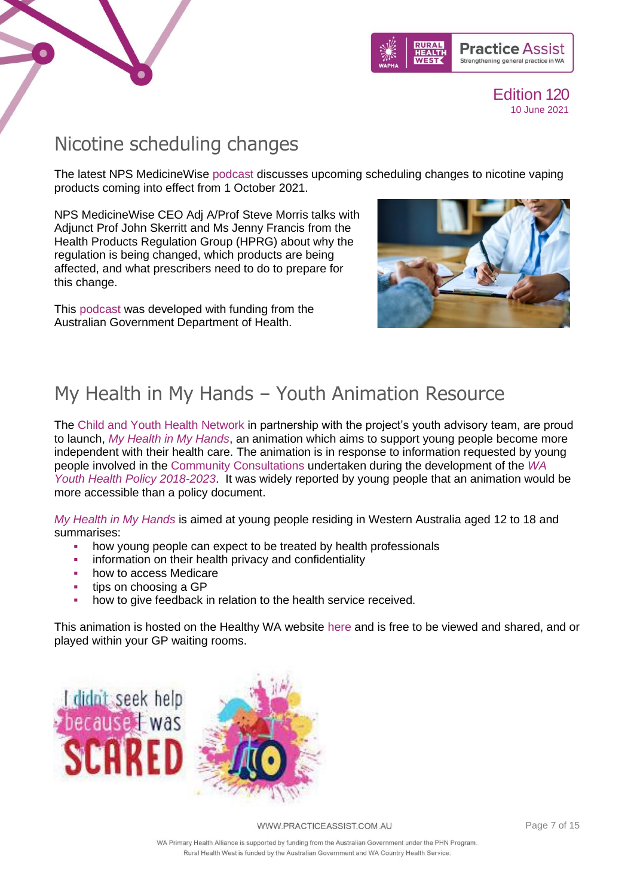



### <span id="page-6-0"></span>Nicotine scheduling changes

The latest NPS MedicineWise [podcast](https://www.nps.org.au/podcast/episode-28-nicotine-scheduling-changes-special-episode-1) discusses upcoming scheduling changes to nicotine vaping products coming into effect from 1 October 2021.

NPS MedicineWise CEO Adj A/Prof Steve Morris talks with Adjunct Prof John Skerritt and Ms Jenny Francis from the Health Products Regulation Group (HPRG) about why the regulation is being changed, which products are being affected, and what prescribers need to do to prepare for this change.

This [podcast](https://www.nps.org.au/podcast/episode-28-nicotine-scheduling-changes-special-episode-1) was developed with funding from the Australian Government Department of Health.



### <span id="page-6-1"></span>My Health in My Hands – Youth Animation Resource

The [Child and Youth Health Network](https://linkprotect.cudasvc.com/url?a=https%3a%2f%2fww2.health.wa.gov.au%2fArticles%2fA_E%2fChild-and-Youth-Health-Network&c=E,1,hpVhXZrBsKN7X4a6QdgsQ0-ewtD6Gs0-jjO4k_pV1c6vLaCRnagdxV9r7_9RowXSam7wc5_cWNMGi6ySiStCjDXP9btak0B-pXIwrmGTePU_pw,,&typo=1) in partnership with the project's youth advisory team, are proud to launch, *[My Health in My Hands](https://linkprotect.cudasvc.com/url?a=https%3a%2f%2fwww.healthywa.wa.gov.au%2fNews%2f2021%2fMy-Health-in-My-Hands&c=E,1,LdXc4srtG0cf8q8UXy44cRWykWm3YCgLfuu80e54bEjQUS_5NSGTcLnDAOlQsI-HtUpIO_W72FB_sGZ8lKzwLXcFkvZnP33Yq8lgFPH-mWQjPw,,&typo=1)*, an animation which aims to support young people become more independent with their health care. The animation is in response to information requested by young people involved in the [Community Consultations](https://linkprotect.cudasvc.com/url?a=https%3a%2f%2fww2.health.wa.gov.au%2f-%2fmedia%2fFiles%2fCorporate%2fgeneral-documents%2fYouth-Policy%2fPDF%2fYoung-people-have-a-say.pdf&c=E,1,nZxsGsTLuLUANICNPUz475JT2sWvU5_h4zbci3dTCXpMJmoxjcNDjeTATb9PYYzexcv8nJGK1NlvpGw0N6Veg9odjCYz0St1EIENiPj1LI8sf8ZMVw,,&typo=1) undertaken during the development of the *[WA](https://linkprotect.cudasvc.com/url?a=https%3a%2f%2fww2.health.wa.gov.au%2f-%2fmedia%2fFiles%2fCorporate%2fgeneral-documents%2fYouth-Policy%2fPDF%2fYouth-policy.pdf&c=E,1,hEwxg5giJf7sTdM22k1wfqR-PjbEzWU1dPsVaqGH463CgPyslR7BiRgyp5IUXxn_9Eq21_Z6uX6JNUhh7QZcS-ColChPDRGcmx9pzIbPcmCcVgE,&typo=1)  [Youth Health Policy 2018-2023](https://linkprotect.cudasvc.com/url?a=https%3a%2f%2fww2.health.wa.gov.au%2f-%2fmedia%2fFiles%2fCorporate%2fgeneral-documents%2fYouth-Policy%2fPDF%2fYouth-policy.pdf&c=E,1,hEwxg5giJf7sTdM22k1wfqR-PjbEzWU1dPsVaqGH463CgPyslR7BiRgyp5IUXxn_9Eq21_Z6uX6JNUhh7QZcS-ColChPDRGcmx9pzIbPcmCcVgE,&typo=1)*. It was widely reported by young people that an animation would be more accessible than a policy document.

*[My Health in My Hands](https://linkprotect.cudasvc.com/url?a=https%3a%2f%2fwww.healthywa.wa.gov.au%2fNews%2f2021%2fMy-Health-in-My-Hands&c=E,1,WzENMGMaIxODyHwBxXhjLvFcK_E_3519afWw38Yj5FEczDxhmObq6NjqNEndS3_duVd1AcyzHPL-I09A36KeDrA2kODSkyqBuvgeCyetzFg,&typo=1)* is aimed at young people residing in Western Australia aged 12 to 18 and summarises:

- how young people can expect to be treated by health professionals
- **•** information on their health privacy and confidentiality
- how to access Medicare
- tips on choosing a GP
- how to give feedback in relation to the health service received.

This animation is hosted on the Healthy WA website [here](https://linkprotect.cudasvc.com/url?a=https%3a%2f%2fwww.healthywa.wa.gov.au%2fNews%2f2021%2fMy-Health-in-My-Hands&c=E,1,mL8LFChrRXgZBEqdIwYJx02nNklqlidcFt7-uKMdGn4c3CpXDEVyROaL1u-EHCHpjMK8BRJ4aJbx9yGtZr1c9bnkZJ85hFAzUIVfQPW0WSxfs0BY&typo=1) and is free to be viewed and shared, and or played within your GP waiting rooms.



WWW.PRACTICEASSIST.COM.AU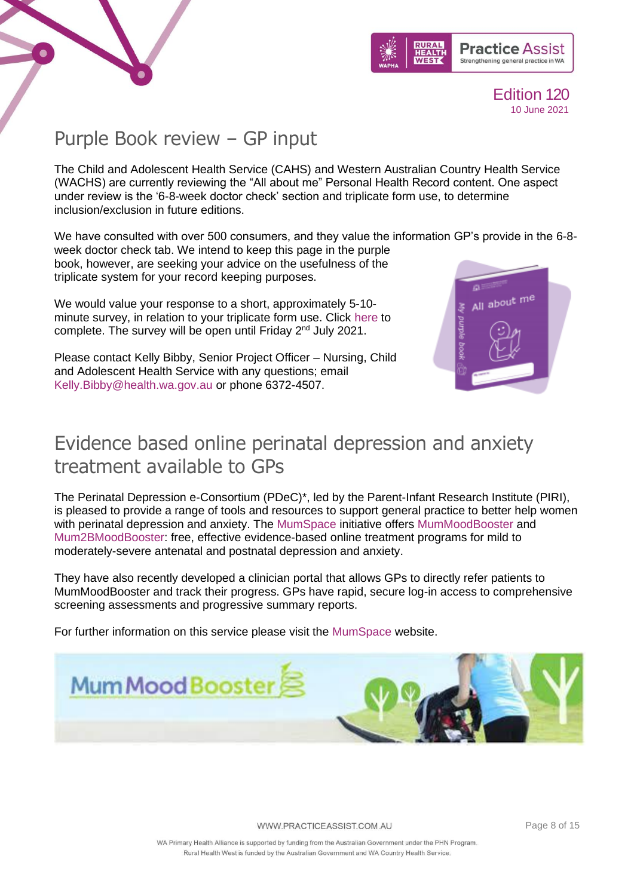



All about me

### <span id="page-7-0"></span>Purple Book review – GP input

The Child and Adolescent Health Service (CAHS) and Western Australian Country Health Service (WACHS) are currently reviewing the "All about me" Personal Health Record content. One aspect under review is the '6-8-week doctor check' section and triplicate form use, to determine inclusion/exclusion in future editions.

We have consulted with over 500 consumers, and they value the information GP's provide in the 6-8 week doctor check tab. We intend to keep this page in the purple

book, however, are seeking your advice on the usefulness of the triplicate system for your record keeping purposes.

We would value your response to a short, approximately 5-10 minute survey, in relation to your triplicate form use. Click [here](https://linkprotect.cudasvc.com/url?a=https%3a%2f%2fforms.office.com%2fPages%2fResponsePage.aspx%3fid%3dub4mXTDXQ0OiUdFwyoY3fLx4opvo8NhBhEB36xU6NVxUQTAzTEVBSEI5QUE0QjRKM0FKOUlKU1MxWC4u&c=E,1,RcnV_7vXBoN9zZSQsj_evKGCU-rMDI1-4P-Gfu0hKs0WnjgWLFGt4VZJINcyOdrKJTyoeco4e2qE0kF0l8MNw6QiJe9eY66jkUXf3alJ&typo=1) to complete. The survey will be open until Friday 2<sup>nd</sup> July 2021.

Please contact Kelly Bibby, Senior Project Officer – Nursing, Child and Adolescent Health Service with any questions; email [Kelly.Bibby@health.wa.gov.au](mailto:Kelly.Bibby@health.wa.gov.au) or phone 6372-4507.

# <span id="page-7-1"></span>Evidence based online perinatal depression and anxiety treatment available to GPs

The Perinatal Depression e-Consortium (PDeC)\*, led by the Parent-Infant Research Institute (PIRI), is pleased to provide a range of tools and resources to support general practice to better help women with perinatal depression and anxiety. The [MumSpace](https://linkprotect.cudasvc.com/url?a=http%3a%2f%2fwww.mumspace.com.au&c=E,1,SmBqnma4sA5kaUBcZ1pW1OKxEZ88F4t0I5Gz0gVS0OB5ZtZoY4W3DZt5rRcOjZmFbAszfw9YttuMoIIDO_Aga24i0qbos4ADXvZkh4ZAg6d5&typo=1) initiative offers [MumMoodBooster](https://linkprotect.cudasvc.com/url?a=http%3a%2f%2fwww.mummoodbooster.com&c=E,1,Dfg363RPLWGolc-rqUW64HbmzxNqRqWYwH4hkL48rqNJmPb_OlKOk7zbej8BwWZpckg578ePkE-DTlcqJgwJNeqXLi9N9Iz_KCOXPjpE0mPvnQ,,&typo=1) and [Mum2BMoodBooster:](https://linkprotect.cudasvc.com/url?a=http%3a%2f%2fwww.mum2bmoodbooster.com&c=E,1,9PXlZewbP0wuR3uzWjSS8Hy6RidgrdHpe5x5T44RP0CoOzkOyXRtG_nhTphZH62J8XJ8KW8_oG-_JGn0jJHMN1XWtYVGhRHPp2-tQUrlm2j5aTA,&typo=1) free, effective evidence-based online treatment programs for mild to moderately-severe antenatal and postnatal depression and anxiety.

They have also recently developed a clinician portal that allows GPs to directly refer patients to MumMoodBooster and track their progress. GPs have rapid, secure log-in access to comprehensive screening assessments and progressive summary reports.

For further information on this service please visit the [MumSpace](https://linkprotect.cudasvc.com/url?a=http%3a%2f%2fwww.mumspace.com.au&c=E,1,SmBqnma4sA5kaUBcZ1pW1OKxEZ88F4t0I5Gz0gVS0OB5ZtZoY4W3DZt5rRcOjZmFbAszfw9YttuMoIIDO_Aga24i0qbos4ADXvZkh4ZAg6d5&typo=1) website.

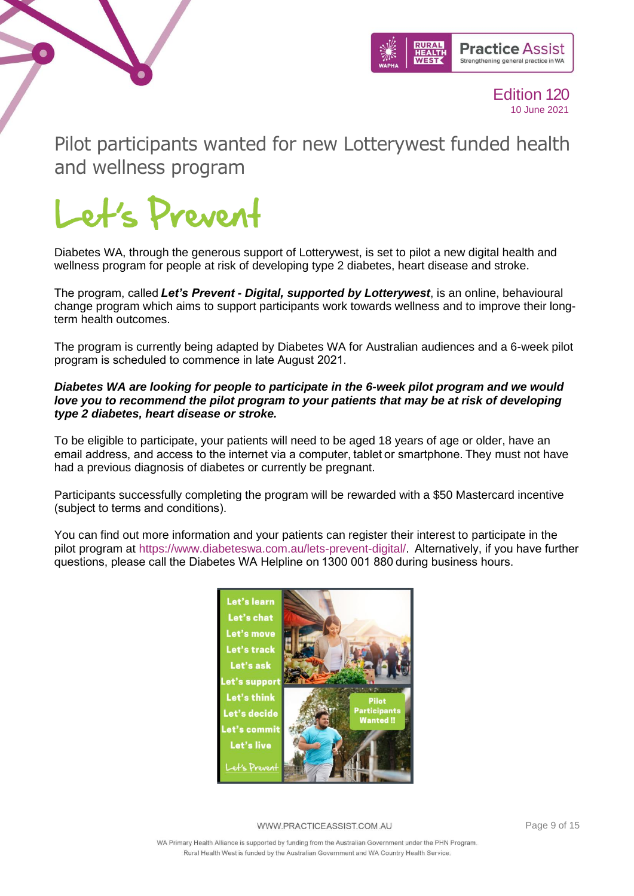



<span id="page-8-0"></span>Pilot participants wanted for new Lotterywest funded health and wellness program 



Diabetes WA, through the generous support of Lotterywest, is set to pilot a new digital health and wellness program for people at risk of developing type 2 diabetes, heart disease and stroke.

The program, called *Let's Prevent - Digital, supported by Lotterywest*, is an online, behavioural change program which aims to support participants work towards wellness and to improve their longterm health outcomes.

The program is currently being adapted by Diabetes WA for Australian audiences and a 6-week pilot program is scheduled to commence in late August 2021. 

#### *Diabetes WA are looking for people to participate in the 6-week pilot program and we would*  love you to recommend the pilot program to your patients that may be at risk of developing *type 2 diabetes, heart disease or stroke.*

To be eligible to participate, your patients will need to be aged 18 years of age or older, have an email address, and access to the internet via a computer, tablet or smartphone. They must not have had a previous diagnosis of diabetes or currently be pregnant.

Participants successfully completing the program will be rewarded with a \$50 Mastercard incentive (subject to terms and conditions).  

You can find out more information and your patients can register their interest to participate in the pilot program at [https://www.diabeteswa.com.au/lets-prevent-digital/.](https://linkprotect.cudasvc.com/url?a=https%3a%2f%2fwww.diabeteswa.com.au%2flets-prevent-digital%2f&c=E,1,1mI3mWOG51T-Sdru5KA9oht_3Wibg6v6veoIZaSaRRrM2mbs2syLlJpMcn3u4kCoiENDqviTgVI8kKJwdegR4FXfe3P2fCBetNgNNvkb-mqxyN3uzA,,&typo=1)  Alternatively, if you have further questions, please call the Diabetes WA Helpline on 1300 001 880 during business hours.



WWW.PRACTICEASSIST.COM.AU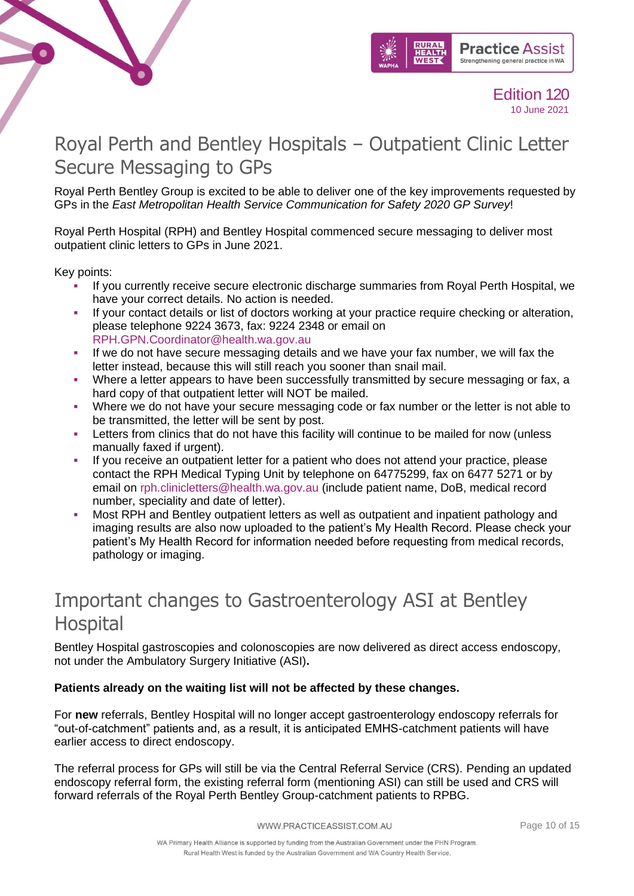



# <span id="page-9-0"></span>Royal Perth and Bentley Hospitals – Outpatient Clinic Letter Secure Messaging to GPs

Royal Perth Bentley Group is excited to be able to deliver one of the key improvements requested by GPs in the *East Metropolitan Health Service Communication for Safety 2020 GP Survey*!

Royal Perth Hospital (RPH) and Bentley Hospital commenced secure messaging to deliver most outpatient clinic letters to GPs in June 2021.

Key points:

- If you currently receive secure electronic discharge summaries from Royal Perth Hospital, we have your correct details. No action is needed.
- If your contact details or list of doctors working at your practice require checking or alteration, please telephone 9224 3673, fax: 9224 2348 or email on [RPH.GPN.Coordinator@health.wa.gov.au](mailto:RPH.GPN.Coordinator@health.wa.gov.au)
- **.** If we do not have secure messaging details and we have your fax number, we will fax the letter instead, because this will still reach you sooner than snail mail.
- Where a letter appears to have been successfully transmitted by secure messaging or fax, a hard copy of that outpatient letter will NOT be mailed.
- Where we do not have your secure messaging code or fax number or the letter is not able to be transmitted, the letter will be sent by post.
- Letters from clinics that do not have this facility will continue to be mailed for now (unless manually faxed if urgent).
- If you receive an outpatient letter for a patient who does not attend your practice, please contact the RPH Medical Typing Unit by telephone on 64775299, fax on 6477 5271 or by email on [rph.clinicletters@health.wa.gov.au](mailto:rph.clinicletters@health.wa.gov.au) (include patient name, DoB, medical record number, speciality and date of letter).
- Most RPH and Bentley outpatient letters as well as outpatient and inpatient pathology and imaging results are also now uploaded to the patient's My Health Record. Please check your patient's My Health Record for information needed before requesting from medical records, pathology or imaging.

### <span id="page-9-1"></span>Important changes to Gastroenterology ASI at Bentley Hospital

Bentley Hospital gastroscopies and colonoscopies are now delivered as direct access endoscopy, not under the Ambulatory Surgery Initiative (ASI)**.**

### **Patients already on the waiting list will not be affected by these changes.**

For **new** referrals, Bentley Hospital will no longer accept gastroenterology endoscopy referrals for "out-of-catchment" patients and, as a result, it is anticipated EMHS-catchment patients will have earlier access to direct endoscopy.

The referral process for GPs will still be via the Central Referral Service (CRS). Pending an updated endoscopy referral form, the existing referral form (mentioning ASI) can still be used and CRS will forward referrals of the Royal Perth Bentley Group-catchment patients to RPBG.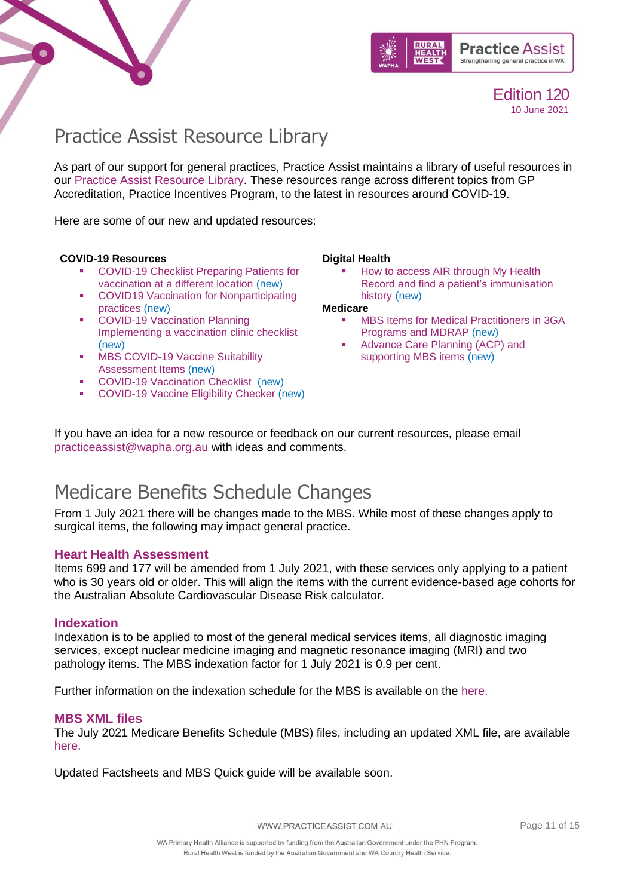



### <span id="page-10-0"></span>Practice Assist Resource Library

As part of our support for general practices, Practice Assist maintains a library of useful resources in our [Practice Assist Resource Library.](https://www.practiceassist.com.au/Resource-Library) These resources range across different topics from GP Accreditation, Practice Incentives Program, to the latest in resources around COVID-19.

Here are some of our new and updated resources:

#### **COVID-19 Resources**

- COVID-19 Checklist Preparing Patients for [vaccination at a different location](https://www.practiceassist.com.au/PracticeAssist/media/ResourceLibrary/210326-WA-COVID-19-Checklist-Preparing-patients-for-vaccination-at-a-different-location.pdf) (new)
- COVID19 Vaccination for Nonparticipating [practices](https://www.practiceassist.com.au/PracticeAssist/media/ResourceLibrary/COVID19-Vaccination-for-Non-participating-practices-210325.pdf) (new)
- COVID-19 Vaccination Planning [Implementing a vaccination clinic checklist](https://www.practiceassist.com.au/PracticeAssist/media/Coronavirus-(COVID-19)/WA-COVID-19-Vaccination-Planning-Checklist-210323.pdf) (new)
- **MBS COVID-19 Vaccine Suitability** [Assessment Items](https://www.practiceassist.com.au/PracticeAssist/media/ResourceLibrary/MBS-COVID-19-Vaccine-suitability-Assessment-Service-Factsheet-210316.pdf) (new)
- [COVID-19 Vaccination Checklist](https://www.practiceassist.com.au/PracticeAssist/media/ResourceLibrary/WA-COVID-19-Vaccination-Checklist-210302.pdf) (new)
- [COVID-19 Vaccine Eligibility Checker](https://covid-vaccine.healthdirect.gov.au/eligibility) (new)

#### **Digital Health**

How to access AIR through My Health [Record and find a patient's immunisation](https://www.practiceassist.com.au/PracticeAssist/media/ResourceLibrary/Digital%20Health/Accessing-AIR-through-MHR-Fact-Sheet-V2-210413.pdf)  [history](https://www.practiceassist.com.au/PracticeAssist/media/ResourceLibrary/Digital%20Health/Accessing-AIR-through-MHR-Fact-Sheet-V2-210413.pdf) (new)

**Medicare** 

- **MBS Items for Medical Practitioners in 3GA** [Programs and MDRAP](https://www.practiceassist.com.au/PracticeAssist/media/ResourceLibrary/Medicare%20Benefits%20Schedule/MBS-Items-for-3GA-Programs-and-MDRAP-Fact-Sheet.pdf) (new)
- Advance Care Planning (ACP) and [supporting MBS items](https://www.practiceassist.com.au/PracticeAssist/media/ResourceLibrary/Medicare%20Benefits%20Schedule/Advance-Care-Planning-Fact-Sheet-V1-210514.pdf) (new)

If you have an idea for a new resource or feedback on our current resources, please email [practiceassist@wapha.org.au](mailto:practiceassist@wapha.org.au) with ideas and comments.

### Medicare Benefits Schedule Changes

From 1 July 2021 there will be changes made to the MBS. While most of these changes apply to surgical items, the following may impact general practice.

#### **Heart Health Assessment**

Items 699 and 177 will be amended from 1 July 2021, with these services only applying to a patient who is 30 years old or older. This will align the items with the current evidence-based age cohorts for the Australian Absolute Cardiovascular Disease Risk calculator.

#### **Indexation**

Indexation is to be applied to most of the general medical services items, all diagnostic imaging services, except nuclear medicine imaging and magnetic resonance imaging (MRI) and two pathology items. The MBS indexation factor for 1 July 2021 is 0.9 per cent.

Further information on the indexation schedule for the MBS is available on the [here.](http://www.mbsonline.gov.au/internet/mbsonline/publishing.nsf/Content/Factsheet-MedicareIndexationSchedule)

#### **MBS XML files**

The July 2021 Medicare Benefits Schedule (MBS) files, including an updated XML file, are available [here.](http://www.mbsonline.gov.au/internet/mbsonline/publishing.nsf/Content/Downloads-210701)

Updated Factsheets and MBS Quick guide will be available soon.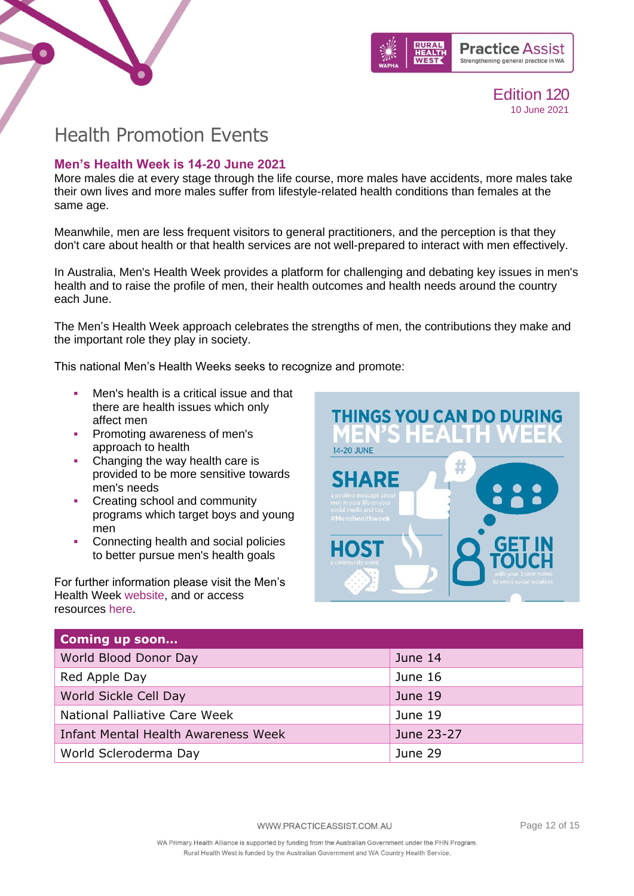



### <span id="page-11-0"></span>Health Promotion Events

### **Men's Health Week is 14-20 June 2021**

More males die at every stage through the life course, more males have accidents, more males take their own lives and more males suffer from lifestyle-related health conditions than females at the same age.

Meanwhile, men are less frequent visitors to general practitioners, and the perception is that they don't care about health or that health services are not well-prepared to interact with men effectively.

In Australia, Men's Health Week provides a platform for challenging and debating key issues in men's health and to raise the profile of men, their health outcomes and health needs around the country each June.

The Men's Health Week approach celebrates the strengths of men, the contributions they make and the important role they play in society.

This national Men's Health Weeks seeks to recognize and promote:

- Men's health is a critical issue and that there are health issues which only affect men
- **Promoting awareness of men's** approach to health
- Changing the way health care is provided to be more sensitive towards men's needs
- Creating school and community programs which target boys and young men
- Connecting health and social policies to better pursue men's health goals

For further information please visit the Men's Health Week [website,](https://www.menshealthweek.org.au/) and or access resources [here.](https://www.menshealthweek.org.au/events/resources/2021-brochures)

**THINGS YOU CAN DO DURING** н **14-20 JUNE SHARE** HOS

| <b>Coming up soon</b>                      |            |
|--------------------------------------------|------------|
| World Blood Donor Day                      | June 14    |
| Red Apple Day                              | June 16    |
| World Sickle Cell Day                      | June 19    |
| National Palliative Care Week              | June 19    |
| <b>Infant Mental Health Awareness Week</b> | June 23-27 |
| World Scleroderma Day                      | June 29    |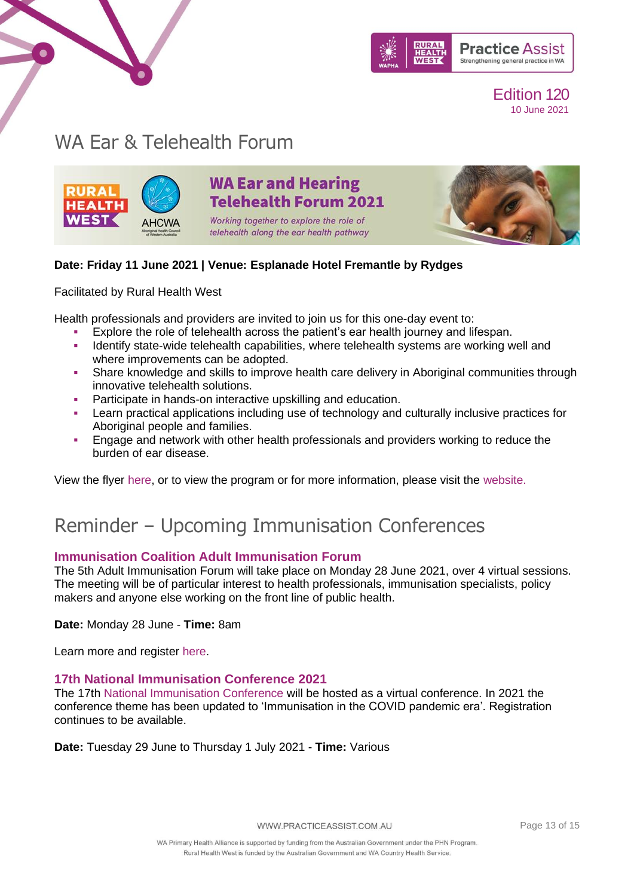

### WA Ear & Telehealth Forum



 $\bullet$ 

### **WA Ear and Hearing Telehealth Forum 2021**

Working together to explore the role of telehealth along the ear health pathway



#### **Date: Friday 11 June 2021 | Venue: Esplanade Hotel Fremantle by Rydges**

Facilitated by Rural Health West

Health professionals and providers are invited to join us for this one-day event to:

- Explore the role of telehealth across the patient's ear health journey and lifespan.
- Identify state-wide telehealth capabilities, where telehealth systems are working well and where improvements can be adopted.
- **•** Share knowledge and skills to improve health care delivery in Aboriginal communities through innovative telehealth solutions.
- Participate in hands-on interactive upskilling and education.
- **EXECT 4** Learn practical applications including use of technology and culturally inclusive practices for Aboriginal people and families.
- Engage and network with other health professionals and providers working to reduce the burden of ear disease.

View the flyer [here,](https://www.practiceassist.com.au/PracticeAssist/media/Practice-Connect/Ear-and-Hearing-Telehealth-Forum-flyer_WEB-EMAIL_1.pdf) or to view the program or for more information, please visit the [website.](https://linkprotect.cudasvc.com/url?a=https%3a%2f%2fruralhealthwest.cmail19.com%2ft%2fr-l-tlitltll-l-q%2f&c=E,1,GEX6sH9OFZ51oRqjX7OCpAA46ssnK-nS2sdXH6sXo0IGZexbq3-sdvfR0nTI3PHlBoK-dAMEo5iBSGC_T0JqFRMHRIGhq5isqhD7Z8dUxDIbBGt1YxMaQmM,&typo=1)

# Reminder – Upcoming Immunisation Conferences

### **Immunisation Coalition Adult Immunisation Forum**

The 5th Adult Immunisation Forum will take place on Monday 28 June 2021, over 4 virtual sessions. The meeting will be of particular interest to health professionals, immunisation specialists, policy makers and anyone else working on the front line of public health.

**Date:** Monday 28 June - **Time:** 8am

Learn more and register [here.](https://us02web.zoom.us/webinar/register/8716207146762/WN_0QU3PsqIRN-rZ2wJM4GFBw)

### **17th National Immunisation Conference 2021**

The 17th [National Immunisation Conference](https://linkprotect.cudasvc.com/url?a=https%3a%2f%2fncirs.cmail20.com%2ft%2ft-l-mulgud-ejtjjtdtk-jd%2f&c=E,1,ahlFN3nNmkKENQ3vor_DoLTlRfd9DWLFjYcxKbBkUIIEdAZ3VgDJYCfnzD9tpwwNC8wXbZlO50RYDvM8p3uZV12C2CfDBmnTV8Iop3Z4TkAFWWamNRuh5uY,&typo=1) will be hosted as a virtual conference. In 2021 the conference theme has been updated to 'Immunisation in the COVID pandemic era'. Registration continues to be available.

**Date:** Tuesday 29 June to Thursday 1 July 2021 - **Time:** Various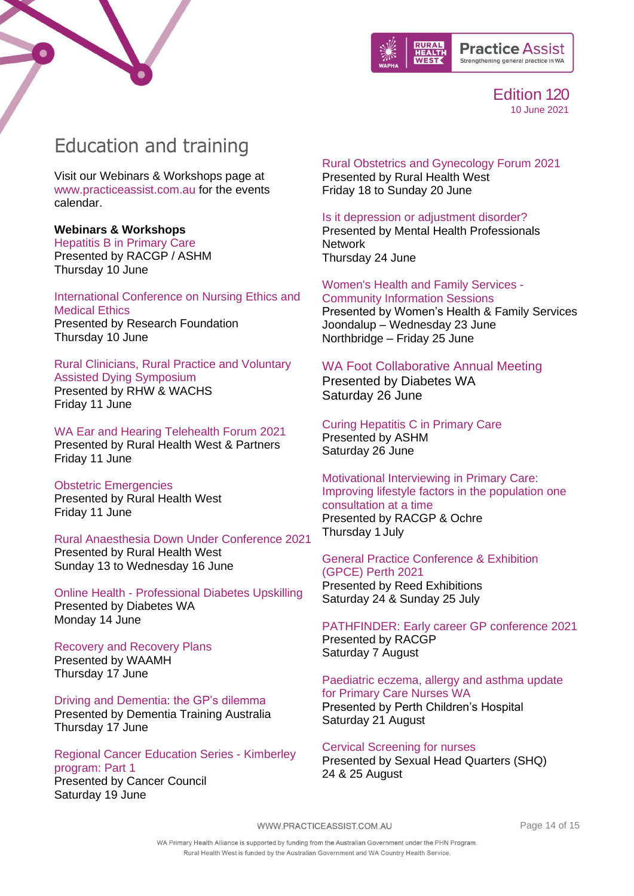



### <span id="page-13-0"></span>Education and training

Visit our Webinars & Workshops page at [www.practiceassist.com.au](http://www.practiceassist.com.au/) for the events calendar.

#### **Webinars & Workshops**

Hepatitis [B in Primary Care](https://www.racgp.org.au/racgp-digital-events-calendar/online-event-items/webinars/hepatitis-b-in-primary-care) Presented by RACGP / ASHM Thursday 10 June

[International Conference on Nursing Ethics and](https://researchfoundation.net/event/index.php?id=1367772)  [Medical Ethics](https://researchfoundation.net/event/index.php?id=1367772) Presented by Research Foundation Thursday 10 June

#### [Rural Clinicians, Rural Practice and Voluntary](https://www.wapha.org.au/event/rural-clinicians-rural-practice-and-voluntary-assisted-dying-symposium/)  [Assisted Dying Symposium](https://www.wapha.org.au/event/rural-clinicians-rural-practice-and-voluntary-assisted-dying-symposium/) [Presented by RHW & WACHS](https://www.wapha.org.au/event/rural-clinicians-rural-practice-and-voluntary-assisted-dying-symposium/) [Friday 11 June](https://www.wapha.org.au/event/rural-clinicians-rural-practice-and-voluntary-assisted-dying-symposium/)

[WA Ear and Hearing Telehealth Forum 2021](https://www.practiceassist.com.au/PracticeAssist/media/Practice-Connect/Ear-and-Hearing-Telehealth-Forum-flyer_WEB-EMAIL.pdf) [Presented by Rural Health West & Partners](https://www.practiceassist.com.au/PracticeAssist/media/Practice-Connect/Ear-and-Hearing-Telehealth-Forum-flyer_WEB-EMAIL.pdf) [Friday 11 June](https://www.practiceassist.com.au/PracticeAssist/media/Practice-Connect/Ear-and-Hearing-Telehealth-Forum-flyer_WEB-EMAIL.pdf)

[Obstetric Emergencies](https://www.ruralhealthwest.com.au/general-practice/professional-development/conferences-events/2021/06/11/default-calendar/obstetric-emergencies-(obs)---kalgoorlie) [Presented by Rural Health West](https://www.ruralhealthwest.com.au/general-practice/professional-development/conferences-events/2021/06/11/default-calendar/obstetric-emergencies-(obs)---kalgoorlie) [Friday 11 June](https://www.ruralhealthwest.com.au/general-practice/professional-development/conferences-events/2021/06/11/default-calendar/obstetric-emergencies-(obs)---kalgoorlie)

[Rural Anaesthesia Down Under Conference 2021](https://www.ruralhealthwest.com.au/general-practice/professional-development/conference/2021/06/13/default-calendar/rural-anaesthesia-down-under-conference-2021) [Presented by Rural Health West](https://www.ruralhealthwest.com.au/general-practice/professional-development/conference/2021/06/13/default-calendar/rural-anaesthesia-down-under-conference-2021) Sunday [13 to Wednesday 16 June](https://www.ruralhealthwest.com.au/general-practice/professional-development/conference/2021/06/13/default-calendar/rural-anaesthesia-down-under-conference-2021)

Online Health - [Professional Diabetes Upskilling](https://members.diabeteswa.com.au/event/sessions?id=Online_Health_Professional_Diabetes_Upskilling2490971628) Presented by Diabetes WA Monday 14 June

#### [Recovery and Recovery Plans](https://waamh.org.au/events-and-training/event?eventtemplate=27-recovery-and-recovery-plans-online&event=34t) Presented by WAAMH Thursday 17 June

[Driving and Dementia: the GP's dilemma](https://kapara.rdbk.com.au/landers/7b631a.html) [Presented by Dementia Training Australia](https://kapara.rdbk.com.au/landers/7b631a.html) [Thursday 17 June](https://kapara.rdbk.com.au/landers/7b631a.html)

[Regional Cancer Education Series -](https://www.eventbrite.com.au/e/regional-cancer-education-series-kimberley-program-part-1-7923-tickets-153430283107) Kimberley [program: Part 1](https://www.eventbrite.com.au/e/regional-cancer-education-series-kimberley-program-part-1-7923-tickets-153430283107) Presented by Cancer Council Saturday 19 June

[Rural Obstetrics and Gynecology Forum 2021](https://ruralhealthwest.eventsair.com/gpo-forum-2021/) [Presented by Rural Health West](https://ruralhealthwest.eventsair.com/gpo-forum-2021/)

[Friday 18 to Sunday 20 June](https://ruralhealthwest.eventsair.com/gpo-forum-2021/)

[Is it depression or adjustment disorder?](https://www.mhpn.org.au/members#/Meeting/21594) Presented by Mental Health Professionals **Network** 

Thursday 24 June

[Women's Health and Family Services -](https://whfs.org.au/2021/05/28/community-info-sessions/) [Community Information Sessions](https://whfs.org.au/2021/05/28/community-info-sessions/)

Presented by Women's Health & Family Services Joondalup – Wednesday 23 June Northbridge – Friday 25 June

#### [WA Foot Collaborative Annual Meeting](https://www.diabeteswa.com.au/professionals/training/training-for-health-professionals/wafcam/)

Presented by Diabetes WA Saturday 26 June

[Curing Hepatitis C in Primary Care](https://ashm.org.au/eventinforeg2/?id=6b2552a9-44a2-eb11-b1ac-002248150301) Presented by ASHM

Saturday 26 June [Motivational Interviewing in Primary Care:](https://www.racgp.org.au/racgp-digital-events-calendar/online-event-items/webinars/rural-health-webinar-series-motivational-interview)  [Improving lifestyle factors in the population one](https://www.racgp.org.au/racgp-digital-events-calendar/online-event-items/webinars/rural-health-webinar-series-motivational-interview)  [consultation at a time](https://www.racgp.org.au/racgp-digital-events-calendar/online-event-items/webinars/rural-health-webinar-series-motivational-interview) Presented by RACGP & Ochre

Thursday 1 July

### [General Practice Conference & Exhibition](https://www.emedevents.com/c/medical-conferences-2021/general-practice-conference-exhibition-gpce-perth-2021)  [\(GPCE\) Perth 2021](https://www.emedevents.com/c/medical-conferences-2021/general-practice-conference-exhibition-gpce-perth-2021)

Presented by Reed Exhibitions Saturday 24 & Sunday 25 July

[PATHFINDER: Early career GP conference 2021](https://racgp.au1.qualtrics.com/jfe/form/SV_6KEemh74qpzMsmO) Presented by RACGP Saturday 7 August

[Paediatric eczema, allergy and asthma update](https://www.practiceassist.com.au/PracticeAssist/media/Practice-Connect/PNWA-allergy-update-flyer-21Aug2021.pdf)  [for Primary Care Nurses WA](https://www.practiceassist.com.au/PracticeAssist/media/Practice-Connect/PNWA-allergy-update-flyer-21Aug2021.pdf)  Presented by Perth Children's Hospital

Saturday 21 August

[Cervical Screening for nurses](https://shq.org.au/course/certificate-nursing-cervical-screening-only/) Presented by Sexual Head Quarters (SHQ) 24 & 25 August

WWW.PRACTICEASSIST.COM.AU

Page 14 of 15